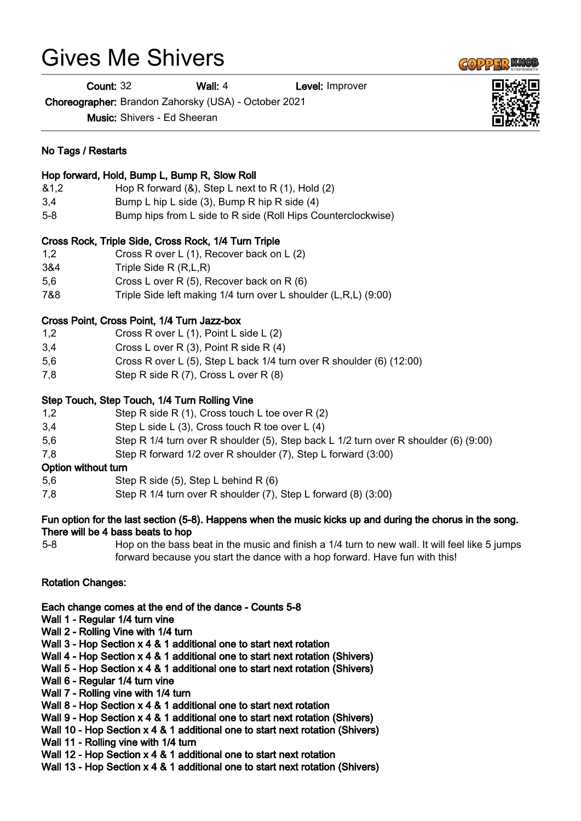# Gives Me Shivers

No Tags / Restarts

**Count: 32 Wall: 4** Level: Improver

Choreographer: Brandon Zahorsky (USA) - October 2021

Music: Shivers - Ed Sheeran

|                     | Hop forward, Hold, Bump L, Bump R, Slow Roll                                                |
|---------------------|---------------------------------------------------------------------------------------------|
| 81,2                | Hop R forward $(8)$ , Step L next to R $(1)$ , Hold $(2)$                                   |
| 3,4                 | Bump L hip L side (3), Bump R hip R side (4)                                                |
| $5 - 8$             | Bump hips from L side to R side (Roll Hips Counterclockwise)                                |
|                     | Cross Rock, Triple Side, Cross Rock, 1/4 Turn Triple                                        |
| 1,2                 | Cross R over L (1), Recover back on L (2)                                                   |
| 3&4                 | Triple Side R (R,L,R)                                                                       |
| 5,6                 | Cross L over R (5), Recover back on R (6)                                                   |
| 7&8                 | Triple Side left making 1/4 turn over L shoulder (L,R,L) (9:00)                             |
|                     | Cross Point, Cross Point, 1/4 Turn Jazz-box                                                 |
| 1,2                 | Cross R over L (1), Point L side L (2)                                                      |
| 3,4                 | Cross L over R (3), Point R side R (4)                                                      |
| 5,6                 | Cross R over L (5), Step L back 1/4 turn over R shoulder (6) (12:00)                        |
| 7,8                 | Step R side R (7), Cross L over R (8)                                                       |
|                     | Step Touch, Step Touch, 1/4 Turn Rolling Vine                                               |
| 1,2                 | Step R side R (1), Cross touch L toe over R (2)                                             |
| 3,4                 | Step L side L (3), Cross touch R toe over L (4)                                             |
| 5,6                 | Step R 1/4 turn over R shoulder (5), Step back L 1/2 turn over R shoulder (6) (9:00)        |
| 7,8                 | Step R forward 1/2 over R shoulder (7), Step L forward (3:00)                               |
| Option without turn |                                                                                             |
| 5,6                 | Step R side (5), Step L behind R (6)                                                        |
| 7,8                 | Step R 1/4 turn over R shoulder (7), Step L forward (8) (3:00)                              |
| <b>P.L.</b>         | stian fan the Innt noeting /E.O). Llennenne winne the mwyafe kielen yn ened dyding the shan |

### Fun option for the last section (5-8). Happens when the music kicks up and during the chorus in the song. There will be 4 bass beats to hop

5-8 Hop on the bass beat in the music and finish a 1/4 turn to new wall. It will feel like 5 jumps forward because you start the dance with a hop forward. Have fun with this!

# Rotation Changes:

Each change comes at the end of the dance - Counts 5-8

- Wall 1 Regular 1/4 turn vine
- Wall 2 Rolling Vine with 1/4 turn
- Wall 3 Hop Section x 4 & 1 additional one to start next rotation
- Wall 4 Hop Section x 4 & 1 additional one to start next rotation (Shivers)
- Wall 5 Hop Section x 4 & 1 additional one to start next rotation (Shivers)
- Wall 6 Regular 1/4 turn vine
- Wall 7 Rolling vine with 1/4 turn
- Wall 8 Hop Section x 4 & 1 additional one to start next rotation
- Wall 9 Hop Section x 4 & 1 additional one to start next rotation (Shivers)
- Wall 10 Hop Section x 4 & 1 additional one to start next rotation (Shivers)
- Wall 11 Rolling vine with 1/4 turn
- Wall 12 Hop Section x 4 & 1 additional one to start next rotation
- Wall 13 Hop Section x 4 & 1 additional one to start next rotation (Shivers)